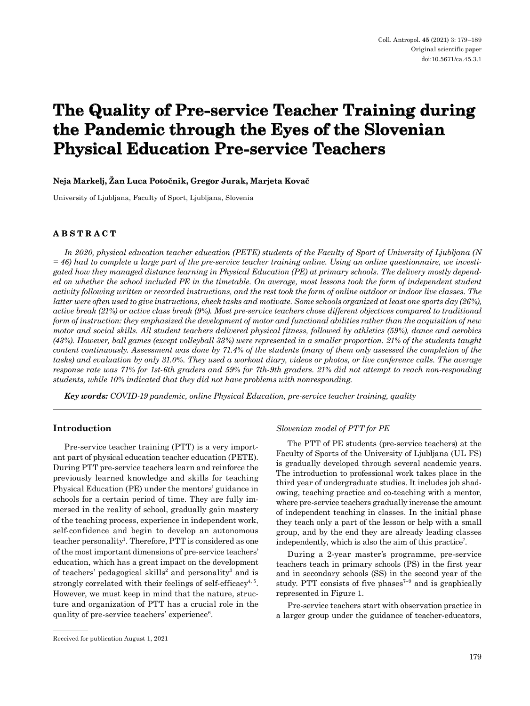# **The Quality of Pre-service Teacher Training during the Pandemic through the Eyes of the Slovenian Physical Education Pre-service Teachers**

## **Neja Markelj, Žan Luca Potočnik, Gregor Jurak, Marjeta Kovač**

University of Ljubljana, Faculty of Sport, Ljubljana, Slovenia

## **ABSTRACT**

*In 2020, physical education teacher education (PETE) students of the Faculty of Sport of University of Ljubljana (N = 46) had to complete a large part of the pre-service teacher training online. Using an online questionnaire, we investigated how they managed distance learning in Physical Education (PE) at primary schools. The delivery mostly depended on whether the school included PE in the timetable. On average, most lessons took the form of independent student activity following written or recorded instructions, and the rest took the form of online outdoor or indoor live classes. The latter were often used to give instructions, check tasks and motivate. Some schools organized at least one sports day (26%), active break (21%) or active class break (9%). Most pre-service teachers chose different objectives compared to traditional form of instruction: they emphasized the development of motor and functional abilities rather than the acquisition of new motor and social skills. All student teachers delivered physical fitness, followed by athletics (59%), dance and aerobics (43%). However, ball games (except volleyball 33%) were represented in a smaller proportion. 21% of the students taught content continuously. Assessment was done by 71.4% of the students (many of them only assessed the completion of the tasks) and evaluation by only 31.0%. They used a workout diary, videos or photos, or live conference calls. The average response rate was 71% for 1st-6th graders and 59% for 7th-9th graders. 21% did not attempt to reach non-responding students, while 10% indicated that they did not have problems with nonresponding.*

*Key words: COVID-19 pandemic, online Physical Education, pre-service teacher training, quality*

### **Introduction**

Pre-service teacher training (PTT) is a very important part of physical education teacher education (PETE). During PTT pre-service teachers learn and reinforce the previously learned knowledge and skills for teaching Physical Education (PE) under the mentors' guidance in schools for a certain period of time. They are fully immersed in the reality of school, gradually gain mastery of the teaching process, experience in independent work, self-confidence and begin to develop an autonomous teacher personality<sup>1</sup>. Therefore, PTT is considered as one of the most important dimensions of pre-service teachers' education, which has a great impact on the development of teachers' pedagogical skills<sup>2</sup> and personality<sup>3</sup> and is strongly correlated with their feelings of self-efficacy<sup>4, 5</sup>. However, we must keep in mind that the nature, structure and organization of PTT has a crucial role in the quality of pre-service teachers' experience<sup>6</sup>.

#### *Slovenian model of PTT for PE*

The PTT of PE students (pre-service teachers) at the Faculty of Sports of the University of Ljubljana (UL FS) is gradually developed through several academic years. The introduction to professional work takes place in the third year of undergraduate studies. It includes job shadowing, teaching practice and co-teaching with a mentor, where pre-service teachers gradually increase the amount of independent teaching in classes. In the initial phase they teach only a part of the lesson or help with a small group, and by the end they are already leading classes independently, which is also the aim of this practice<sup>7</sup>.

During a 2-year master's programme, pre-service teachers teach in primary schools (PS) in the first year and in secondary schools (SS) in the second year of the study. PTT consists of five phases<sup> $7-9$ </sup> and is graphically represented in Figure 1.

Pre-service teachers start with observation practice in a larger group under the guidance of teacher-educators,

Received for publication August 1, 2021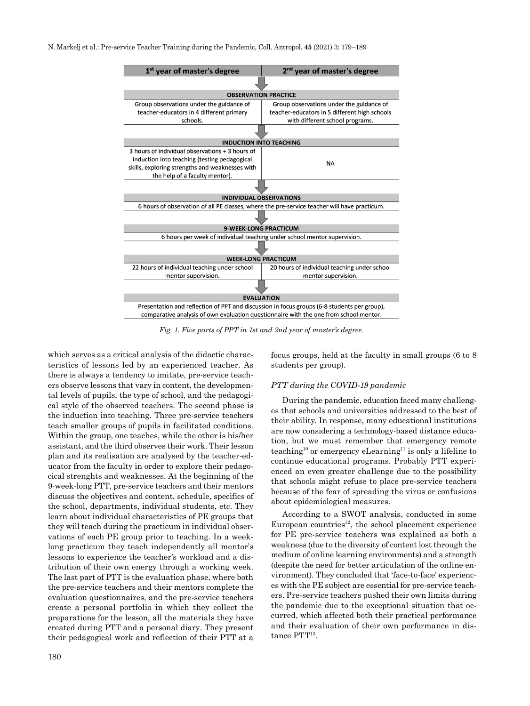

*Fig. 1. Five parts of PPT in 1st and 2nd year of master's degree.*

which serves as a critical analysis of the didactic characteristics of lessons led by an experienced teacher. As there is always a tendency to imitate, pre-service teachers observe lessons that vary in content, the developmental levels of pupils, the type of school, and the pedagogical style of the observed teachers. The second phase is the induction into teaching. Three pre-service teachers teach smaller groups of pupils in facilitated conditions. Within the group, one teaches, while the other is his/her assistant, and the third observes their work. Their lesson plan and its realisation are analysed by the teacher-educator from the faculty in order to explore their pedagocical strenghts and weaknesses. At the beginning of the 9-week-long PTT, pre-service teachers and their mentors discuss the objectives and content, schedule, specifics of the school, departments, individual students, etc. They learn about individual characteristics of PE groups that they will teach during the practicum in individual observations of each PE group prior to teaching. In a weeklong practicum they teach independently all mentor's lessons to experience the teacher's workload and a distribution of their own energy through a working week. The last part of PTT is the evaluation phase, where both the pre-service teachers and their mentors complete the evaluation questionnaires, and the pre-service teachers create a personal portfolio in which they collect the preparations for the lesson, all the materials they have created during PTT and a personal diary. They present their pedagogical work and reflection of their PTT at a focus groups, held at the faculty in small groups (6 to 8 students per group).

#### *PTT during the COVID-19 pandemic*

During the pandemic, education faced many challenges that schools and universities addressed to the best of their ability. In response, many educational institutions are now considering a technology-based distance education, but we must remember that emergency remote teaching<sup>10</sup> or emergency eLearning<sup>11</sup> is only a lifeline to continue educational programs. Probably PTT experienced an even greater challenge due to the possibility that schools might refuse to place pre-service teachers because of the fear of spreading the virus or confusions about epidemiological measures.

According to a SWOT analysis, conducted in some European countries<sup>12</sup>, the school placement experience for PE pre-service teachers was explained as both a weakness (due to the diversity of content lost through the medium of online learning environments) and a strength (despite the need for better articulation of the online environment). They concluded that 'face-to-face' experiences with the PE subject are essential for pre-service teachers. Pre-service teachers pushed their own limits during the pandemic due to the exceptional situation that occurred, which affected both their practical performance and their evaluation of their own performance in distance PTT<sup>13</sup>.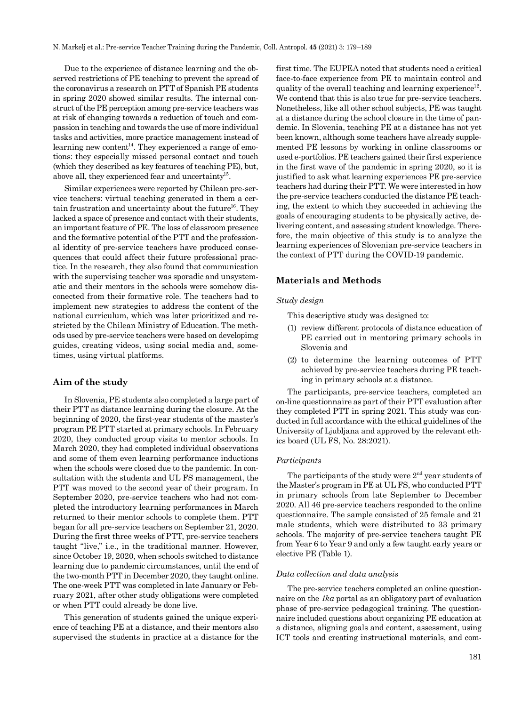Due to the experience of distance learning and the observed restrictions of PE teaching to prevent the spread of the coronavirus a research on PTT of Spanish PE students in spring 2020 showed similar results. The internal construct of the PE perception among pre-service teachers was at risk of changing towards a reduction of touch and compassion in teaching and towards the use of more individual tasks and activities, more practice management instead of learning new content<sup>14</sup>. They experienced a range of emotions: they especially missed personal contact and touch (which they described as key features of teaching PE), but, above all, they experienced fear and uncertainty<sup>15</sup>.

Similar experiences were reported by Chilean pre-service teachers: virtual teaching generated in them a certain frustration and uncertainty about the future<sup>16</sup>. They lacked a space of presence and contact with their students, an important feature of PE. The loss of classroom presence and the formative potential of the PTT and the professional identity of pre-service teachers have produced consequences that could affect their future professional practice. In the research, they also found that communication with the supervising teacher was sporadic and unsystematic and their mentors in the schools were somehow disconected from their formative role. The teachers had to implement new strategies to address the content of the national curriculum, which was later prioritized and restricted by the Chilean Ministry of Education. The methods used by pre-service teachers were based on developimg guides, creating videos, using social media and, sometimes, using virtual platforms.

#### **Aim of the study**

In Slovenia, PE students also completed a large part of their PTT as distance learning during the closure. At the beginning of 2020, the first-year students of the master's program PE PTT started at primary schools. In February 2020, they conducted group visits to mentor schools. In March 2020, they had completed individual observations and some of them even learning performance inductions when the schools were closed due to the pandemic. In consultation with the students and UL FS management, the PTT was moved to the second year of their program. In September 2020, pre-service teachers who had not completed the introductory learning performances in March returned to their mentor schools to complete them. PTT began for all pre-service teachers on September 21, 2020. During the first three weeks of PTT, pre-service teachers taught "live," i.e., in the traditional manner. However, since October 19, 2020, when schools switched to distance learning due to pandemic circumstances, until the end of the two-month PTT in December 2020, they taught online. The one-week PTT was completed in late January or February 2021, after other study obligations were completed or when PTT could already be done live.

This generation of students gained the unique experience of teaching PE at a distance, and their mentors also supervised the students in practice at a distance for the first time. The EUPEA noted that students need a critical face-to-face experience from PE to maintain control and quality of the overall teaching and learning experience<sup>12</sup>. We contend that this is also true for pre-service teachers. Nonetheless, like all other school subjects, PE was taught at a distance during the school closure in the time of pandemic. In Slovenia, teaching PE at a distance has not yet been known, although some teachers have already supplemented PE lessons by working in online classrooms or used e-portfolios. PE teachers gained their first experience in the first wave of the pandemic in spring 2020, so it is justified to ask what learning experiences PE pre-service teachers had during their PTT. We were interested in how the pre-service teachers conducted the distance PE teaching, the extent to which they succeeded in achieving the goals of encouraging students to be physically active, delivering content, and assessing student knowledge. Therefore, the main objective of this study is to analyze the learning experiences of Slovenian pre-service teachers in the context of PTT during the COVID-19 pandemic.

## **Materials and Methods**

#### *Study design*

This descriptive study was designed to:

- (1) review different protocols of distance education of PE carried out in mentoring primary schools in Slovenia and
- (2) to determine the learning outcomes of PTT achieved by pre-service teachers during PE teaching in primary schools at a distance.

The participants, pre-service teachers, completed an on-line questionnaire as part of their PTT evaluation after they completed PTT in spring 2021. This study was conducted in full accordance with the ethical guidelines of the University of Ljubljana and approved by the relevant ethics board (UL FS, No. 28:2021).

#### *Participants*

The participants of the study were  $2<sup>nd</sup>$  year students of the Master's program in PE at UL FS, who conducted PTT in primary schools from late September to December 2020. All 46 pre-service teachers responded to the online questionnaire. The sample consisted of 25 female and 21 male students, which were distributed to 33 primary schools. The majority of pre-service teachers taught PE from Year 6 to Year 9 and only a few taught early years or elective PE (Table 1).

#### *Data collection and data analysis*

The pre-service teachers completed an online questionnaire on the *1ka* portal as an obligatory part of evaluation phase of pre-service pedagogical training. The questionnaire included questions about organizing PE education at a distance, aligning goals and content, assessment, using ICT tools and creating instructional materials, and com-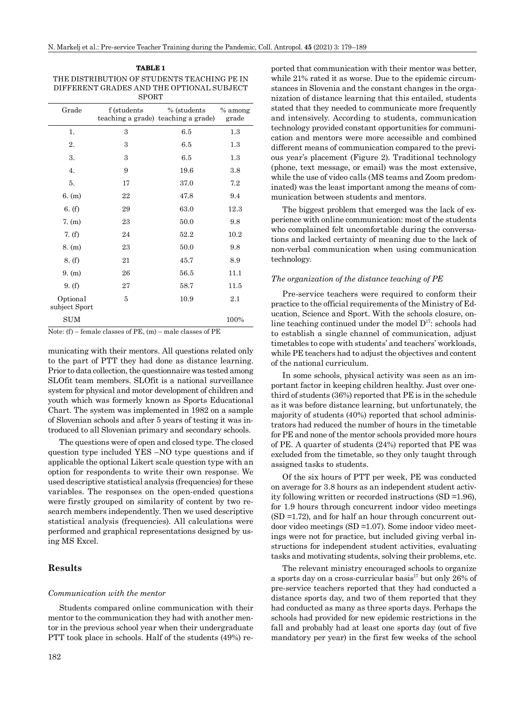**TABLE 1** THE DISTRIBUTION OF STUDENTS TEACHING PE IN DIFFERENT GRADES AND THE OPTIONAL SUBJECT **SPORT** 

| Grade                     | f (students | % (students<br>teaching a grade) teaching a grade) | $%$ among<br>grade |
|---------------------------|-------------|----------------------------------------------------|--------------------|
| 1.                        | 3           | 6.5                                                | 1.3                |
| 2.                        | 3           | 6.5                                                | 1.3                |
| 3.                        | 3           | 6.5                                                | 1.3                |
| 4.                        | 9           | 19.6                                               | 3.8                |
| 5.                        | 17          | 37.0                                               | 7.2                |
| 6. (m)                    | 22          | 47.8                                               | 9.4                |
| 6. (f)                    | 29          | 63.0                                               | 12.3               |
| 7. (m)                    | 23          | 50.0                                               | 9.8                |
| 7. $(f)$                  | 24          | 52.2                                               | 10.2               |
| 8. (m)                    | 23          | 50.0                                               | 9.8                |
| 8. (f)                    | 21          | 45.7                                               | 8.9                |
| 9. (m)                    | 26          | 56.5                                               | 11.1               |
| 9. (f)                    | 27          | 58.7                                               | 11.5               |
| Optional<br>subject Sport | 5           | 10.9                                               | 2.1                |
| <b>SUM</b>                |             |                                                    | 100%               |

Note: (f) – female classes of PE, (m) – male classes of PE

municating with their mentors. All questions related only to the part of PTT they had done as distance learning. Prior to data collection, the questionnaire was tested among SLOfit team members. SLOfit is a national surveillance system for physical and motor development of children and youth which was formerly known as Sports Educational Chart. The system was implemented in 1982 on a sample of Slovenian schools and after 5 years of testing it was introduced to all Slovenian primary and secondary schools.

The questions were of open and closed type. The closed question type included YES –NO type questions and if applicable the optional Likert scale question type with an option for respondents to write their own response. We used descriptive statistical analysis (frequencies) for these variables. The responses on the open-ended questions were firstly grouped on similarity of content by two research members independently. Then we used descriptive statistical analysis (frequencies). All calculations were performed and graphical representations designed by using MS Excel.

## **Results**

#### *Communication with the mentor*

Students compared online communication with their mentor to the communication they had with another mentor in the previous school year when their undergraduate PTT took place in schools. Half of the students (49%) re-

182

ported that communication with their mentor was better, while 21% rated it as worse. Due to the epidemic circumstances in Slovenia and the constant changes in the organization of distance learning that this entailed, students stated that they needed to communicate more frequently and intensively. According to students, communication technology provided constant opportunities for communication and mentors were more accessible and combined different means of communication compared to the previous year's placement (Figure 2). Traditional technology (phone, text message, or email) was the most extensive, while the use of video calls (MS teams and Zoom predominated) was the least important among the means of communication between students and mentors.

The biggest problem that emerged was the lack of experience with online communication: most of the students who complained felt uncomfortable during the conversations and lacked certainty of meaning due to the lack of non-verbal communication when using communication technology.

#### *The organization of the distance teaching of PE*

Pre-service teachers were required to conform their practice to the official requirements of the Ministry of Education, Science and Sport. With the schools closure, online teaching continued under the model  $D^{17}$ : schools had to establish a single channel of communication, adjust timetables to cope with students' and teachers' workloads, while PE teachers had to adjust the objectives and content of the national curriculum.

In some schools, physical activity was seen as an important factor in keeping children healthy. Just over onethird of students (36%) reported that PE is in the schedule as it was before distance learning, but unfortunately, the majority of students (40%) reported that school administrators had reduced the number of hours in the timetable for PE and none of the mentor schools provided more hours of PE. A quarter of students (24%) reported that PE was excluded from the timetable, so they only taught through assigned tasks to students.

Of the six hours of PTT per week, PE was conducted on average for 3.8 hours as an independent student activity following written or recorded instructions (SD =1.96), for 1.9 hours through concurrent indoor video meetings (SD =1.72), and for half an hour through concurrent outdoor video meetings (SD =1.07). Some indoor video meetings were not for practice, but included giving verbal instructions for independent student activities, evaluating tasks and motivating students, solving their problems, etc.

The relevant ministry encouraged schools to organize a sports day on a cross-curricular basis $^{17}$  but only 26% of pre-service teachers reported that they had conducted a distance sports day, and two of them reported that they had conducted as many as three sports days. Perhaps the schools had provided for new epidemic restrictions in the fall and probably had at least one sports day (out of five mandatory per year) in the first few weeks of the school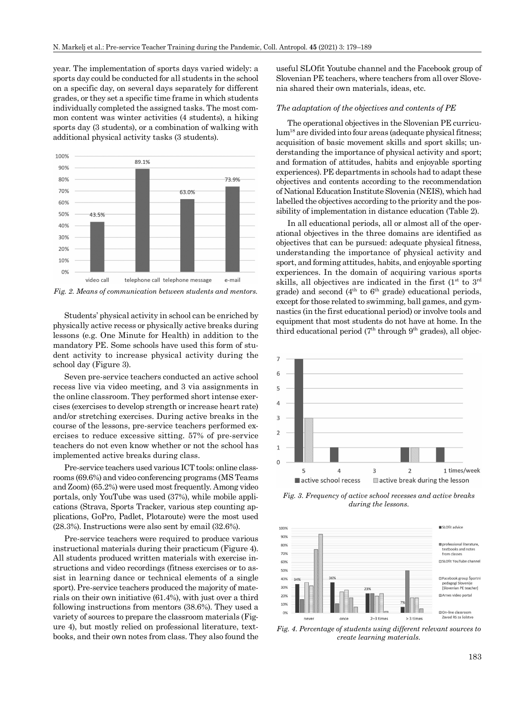year. The implementation of sports days varied widely: a sports day could be conducted for all students in the school on a specific day, on several days separately for different grades, or they set a specific time frame in which students individually completed the assigned tasks. The most common content was winter activities (4 students), a hiking sports day (3 students), or a combination of walking with additional physical activity tasks (3 students).



*Fig. 2. Means of communication between students and mentors.*

Students' physical activity in school can be enriched by physically active recess or physically active breaks during lessons (e.g. One Minute for Health) in addition to the mandatory PE. Some schools have used this form of student activity to increase physical activity during the school day (Figure 3).

Seven pre-service teachers conducted an active school recess live via video meeting, and 3 via assignments in the online classroom. They performed short intense exercises (exercises to develop strength or increase heart rate) and/or stretching exercises. During active breaks in the course of the lessons, pre-service teachers performed exercises to reduce excessive sitting. 57% of pre-service teachers do not even know whether or not the school has implemented active breaks during class.

Pre-service teachers used various ICT tools: online classrooms (69.6%) and video conferencing programs (MS Teams and Zoom) (65.2%) were used most frequently. Among video portals, only YouTube was used (37%), while mobile applications (Strava, Sports Tracker, various step counting applications, GoPro, Padlet, Plotaroute) were the most used (28.3%). Instructions were also sent by email (32.6%).

Pre-service teachers were required to produce various instructional materials during their practicum (Figure 4). All students produced written materials with exercise instructions and video recordings (fitness exercises or to assist in learning dance or technical elements of a single sport). Pre-service teachers produced the majority of materials on their own initiative (61.4%), with just over a third following instructions from mentors (38.6%). They used a variety of sources to prepare the classroom materials (Figure 4), but mostly relied on professional literature, textbooks, and their own notes from class. They also found the useful SLOfit Youtube channel and the Facebook group of Slovenian PE teachers, where teachers from all over Slovenia shared their own materials, ideas, etc.

#### *The adaptation of the objectives and contents of PE*

The operational objectives in the Slovenian PE curriculum18 are divided into four areas (adequate physical fitness; acquisition of basic movement skills and sport skills; understanding the importance of physical activity and sport; and formation of attitudes, habits and enjoyable sporting experiences). PE departments in schools had to adapt these objectives and contents according to the recommendation of National Education Institute Slovenia (NEIS), which had labelled the objectives according to the priority and the possibility of implementation in distance education (Table 2).

In all educational periods, all or almost all of the operational objectives in the three domains are identified as objectives that can be pursued: adequate physical fitness, understanding the importance of physical activity and sport, and forming attitudes, habits, and enjoyable sporting experiences. In the domain of acquiring various sports skills, all objectives are indicated in the first  $(1<sup>st</sup>$  to  $3<sup>rd</sup>$ grade) and second  $(4<sup>th</sup>$  to  $6<sup>th</sup>$  grade) educational periods, except for those related to swimming, ball games, and gymnastics (in the first educational period) or involve tools and equipment that most students do not have at home. In the third educational period ( $7<sup>th</sup>$  through  $9<sup>th</sup>$  grades), all objec-



*Fig. 3. Frequency of active school recesses and active breaks during the lessons.*



*Fig. 4. Percentage of students using different relevant sources to create learning materials.*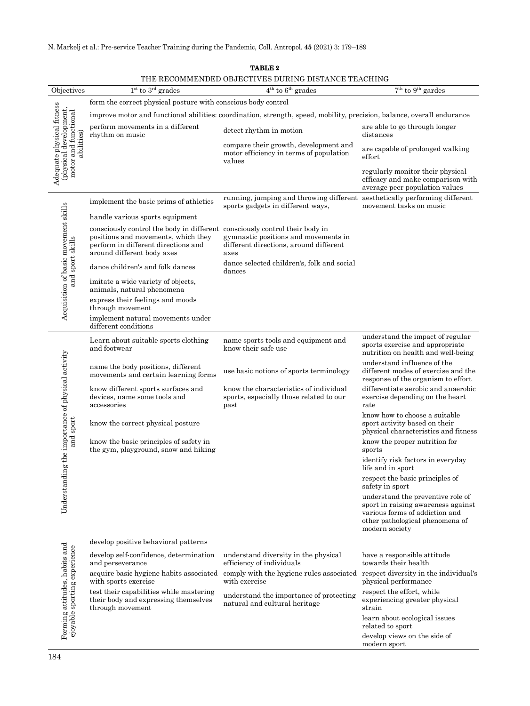|                                                                                           | THE RECOMMENDED OBJECTIVES DURING DISTANCE TEACHING                                                                                                                                     |                                                                                                                 |                                                                                                                                                                |  |  |
|-------------------------------------------------------------------------------------------|-----------------------------------------------------------------------------------------------------------------------------------------------------------------------------------------|-----------------------------------------------------------------------------------------------------------------|----------------------------------------------------------------------------------------------------------------------------------------------------------------|--|--|
| Objectives                                                                                | $1st$ to $3rd$ grades                                                                                                                                                                   | $4th$ to $6th$ grades                                                                                           | $7th$ to $9th$ gardes                                                                                                                                          |  |  |
|                                                                                           | form the correct physical posture with conscious body control                                                                                                                           |                                                                                                                 |                                                                                                                                                                |  |  |
| Adequate physical fitness<br>(physical development,<br>motor and functional<br>abilities) | improve motor and functional abilities: coordination, strength, speed, mobility, precision, balance, overall endurance                                                                  |                                                                                                                 |                                                                                                                                                                |  |  |
|                                                                                           | perform movements in a different<br>rhythm on music                                                                                                                                     | detect rhythm in motion                                                                                         | are able to go through longer<br>distances                                                                                                                     |  |  |
|                                                                                           |                                                                                                                                                                                         | compare their growth, development and<br>motor efficiency in terms of population<br>values                      | are capable of prolonged walking<br>$_{\rm{effort}}$                                                                                                           |  |  |
|                                                                                           |                                                                                                                                                                                         |                                                                                                                 | regularly monitor their physical<br>efficacy and make comparison with<br>average peer population values                                                        |  |  |
| Acquisition of basic movement skills<br>and sport skills                                  | implement the basic prims of athletics                                                                                                                                                  | running, jumping and throwing different aesthetically performing different<br>sports gadgets in different ways, | movement tasks on music                                                                                                                                        |  |  |
|                                                                                           | handle various sports equipment                                                                                                                                                         |                                                                                                                 |                                                                                                                                                                |  |  |
|                                                                                           | consciously control the body in different consciously control their body in<br>positions and movements, which they<br>perform in different directions and<br>around different body axes | gymnastic positions and movements in<br>different directions, around different<br>axes                          |                                                                                                                                                                |  |  |
|                                                                                           | dance children's and folk dances                                                                                                                                                        | dance selected children's, folk and social<br>dances                                                            |                                                                                                                                                                |  |  |
|                                                                                           | imitate a wide variety of objects,<br>animals, natural phenomena                                                                                                                        |                                                                                                                 |                                                                                                                                                                |  |  |
|                                                                                           | express their feelings and moods<br>through movement                                                                                                                                    |                                                                                                                 |                                                                                                                                                                |  |  |
|                                                                                           | implement natural movements under<br>different conditions                                                                                                                               |                                                                                                                 |                                                                                                                                                                |  |  |
| Understanding the importance of physical activity<br>and sport                            | Learn about suitable sports clothing<br>and footwear                                                                                                                                    | name sports tools and equipment and<br>know their safe use                                                      | understand the impact of regular<br>sports exercise and appropriate<br>nutrition on health and well-being                                                      |  |  |
|                                                                                           | name the body positions, different<br>movements and certain learning forms                                                                                                              | use basic notions of sports terminology                                                                         | understand influence of the<br>different modes of exercise and the<br>response of the organism to effort                                                       |  |  |
|                                                                                           | know different sports surfaces and<br>devices, name some tools and<br>accessories                                                                                                       | know the characteristics of individual<br>sports, especially those related to our<br>past                       | differentiate aerobic and anaerobic<br>exercise depending on the heart<br>rate                                                                                 |  |  |
|                                                                                           | know the correct physical posture                                                                                                                                                       |                                                                                                                 | know how to choose a suitable<br>sport activity based on their<br>physical characteristics and fitness                                                         |  |  |
|                                                                                           | know the basic principles of safety in<br>the gym, playground, snow and hiking                                                                                                          |                                                                                                                 | know the proper nutrition for<br>sports                                                                                                                        |  |  |
|                                                                                           |                                                                                                                                                                                         |                                                                                                                 | identify risk factors in everyday<br>life and in sport                                                                                                         |  |  |
|                                                                                           |                                                                                                                                                                                         |                                                                                                                 | respect the basic principles of<br>safety in sport                                                                                                             |  |  |
|                                                                                           |                                                                                                                                                                                         |                                                                                                                 | understand the preventive role of<br>sport in raising awareness against<br>various forms of addiction and<br>other pathological phenomena of<br>modern society |  |  |
|                                                                                           | develop positive behavioral patterns                                                                                                                                                    |                                                                                                                 |                                                                                                                                                                |  |  |
| Forming attitudes, habits and<br>ejoyable sporting experience                             | develop self-confidence, determination<br>and perseverance                                                                                                                              | understand diversity in the physical<br>efficiency of individuals                                               | have a responsible attitude<br>towards their health                                                                                                            |  |  |
|                                                                                           | acquire basic hygiene habits associated<br>with sports exercise                                                                                                                         | comply with the hygiene rules associated<br>with exercise                                                       | respect diversity in the individual's<br>physical performance                                                                                                  |  |  |
|                                                                                           | test their capabilities while mastering<br>their body and expressing themselves<br>through movement                                                                                     | understand the importance of protecting<br>natural and cultural heritage                                        | respect the effort, while<br>experiencing greater physical<br>strain                                                                                           |  |  |
|                                                                                           |                                                                                                                                                                                         |                                                                                                                 | learn about ecological issues<br>related to sport                                                                                                              |  |  |
|                                                                                           |                                                                                                                                                                                         |                                                                                                                 | develop views on the side of                                                                                                                                   |  |  |

modern sport

# **TABLE 2**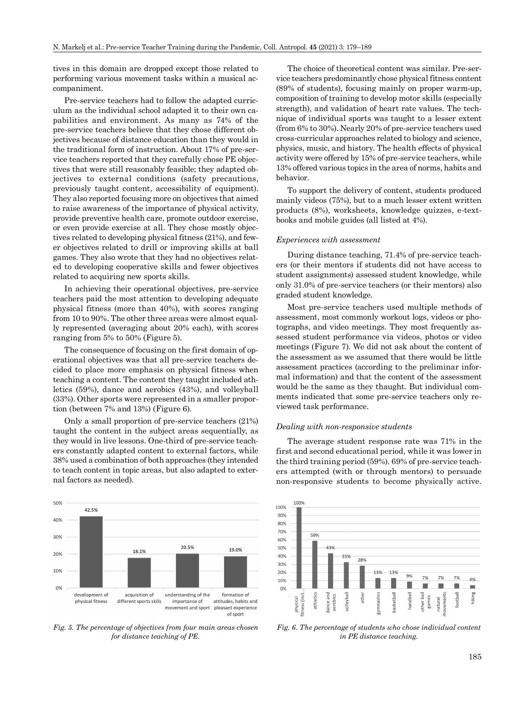tives in this domain are dropped except those related to performing various movement tasks within a musical accompaniment.

Pre-service teachers had to follow the adapted curriculum as the individual school adapted it to their own capabilities and environment. As many as 74% of the pre-service teachers believe that they chose different objectives because of distance education than they would in the traditional form of instruction. About 17% of pre-service teachers reported that they carefully chose PE objectives that were still reasonably feasible; they adapted objectives to external conditions (safety precautions, previously taught content, accessibility of equipment). They also reported focusing more on objectives that aimed to raise awareness of the importance of physical activity, provide preventive health care, promote outdoor exercise, or even provide exercise at all. They chose mostly objectives related to developing physical fitness (21%), and fewer objectives related to drill or improving skills at ball games. They also wrote that they had no objectives related to developing cooperative skills and fewer objectives related to acquiring new sports skills.

In achieving their operational objectives, pre-service teachers paid the most attention to developing adequate physical fitness (more than 40%), with scores ranging from 10 to 90%. The other three areas were almost equally represented (averaging about 20% each), with scores ranging from 5% to 50% (Figure 5).

The consequence of focusing on the first domain of operational objectives was that all pre-service teachers decided to place more emphasis on physical fitness when teaching a content. The content they taught included athletics (59%), dance and aerobics (43%), and volleyball (33%). Other sports were represented in a smaller proportion (between 7% and 13%) (Figure 6).

Only a small proportion of pre-service teachers (21%) taught the content in the subject areas sequentially, as they would in live lessons. One-third of pre-service teachers constantly adapted content to external factors, while 38% used a combination of both approaches (they intended to teach content in topic areas, but also adapted to external factors as needed).



*Fig. 5. The percentage of objectives from four main areas chosen for distance teaching of PE.*

The choice of theoretical content was similar. Pre-service teachers predominantly chose physical fitness content (89% of students), focusing mainly on proper warm-up, composition of training to develop motor skills (especially strength), and validation of heart rate values. The technique of individual sports was taught to a lesser extent (from 6% to 30%). Nearly 20% of pre-service teachers used cross-curricular approaches related to biology and science, physics, music, and history. The health effects of physical activity were offered by 15% of pre-service teachers, while 13% offered various topics in the area of norms, habits and behavior.

To support the delivery of content, students produced mainly videos (75%), but to a much lesser extent written products (8%), worksheets, knowledge quizzes, e-textbooks and mobile guides (all listed at 4%).

### *Experiences with assessment*

During distance teaching, 71.4% of pre-service teachers (or their mentors if students did not have access to student assignments) assessed student knowledge, while only 31.0% of pre-service teachers (or their mentors) also graded student knowledge.

Most pre-service teachers used multiple methods of assessment, most commonly workout logs, videos or photographs, and video meetings. They most frequently assessed student performance via videos, photos or video meetings (Figure 7). We did not ask about the content of the assessment as we assumed that there would be little assessment practices (according to the preliminar informal information) and that the content of the assessment would be the same as they thaught. But individual comments indicated that some pre-service teachers only reviewed task performance.

#### *Dealing with non-responsive students*

The average student response rate was 71% in the first and second educational period, while it was lower in the third training period (59%). 69% of pre-service teachers attempted (with or through mentors) to persuade non-responsive students to become physically active.



*Fig. 6. The percentage of students who chose individual content in PE distance teaching.*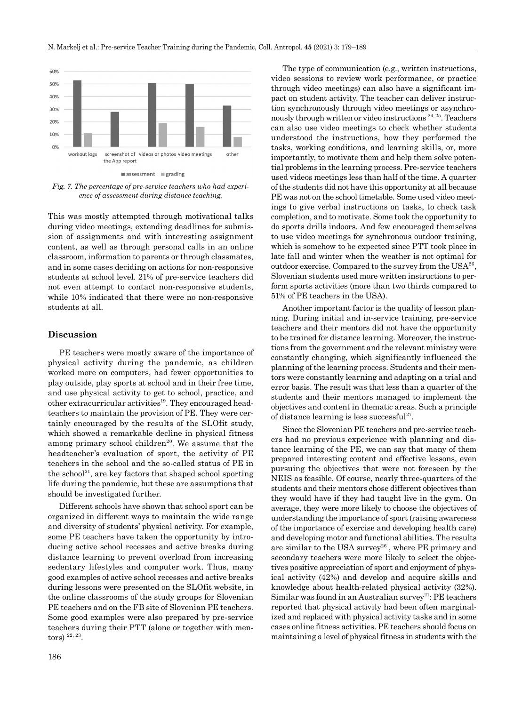

*Fig. 7. The percentage of pre-service teachers who had experience of assessment during distance teaching.*

This was mostly attempted through motivational talks during video meetings, extending deadlines for submission of assignments and with interesting assignment content, as well as through personal calls in an online classroom, information to parents or through classmates, and in some cases deciding on actions for non-responsive students at school level. 21% of pre-service teachers did not even attempt to contact non-responsive students, while 10% indicated that there were no non-responsive students at all.

## **Discussion**

PE teachers were mostly aware of the importance of physical activity during the pandemic, as children worked more on computers, had fewer opportunities to play outside, play sports at school and in their free time, and use physical activity to get to school, practice, and other extracurricular activities<sup>19</sup>. They encouraged headteachers to maintain the provision of PE. They were certainly encouraged by the results of the SLOfit study, which showed a remarkable decline in physical fitness among primary school children<sup>20</sup>. We assume that the headteacher's evaluation of sport, the activity of PE teachers in the school and the so-called status of PE in the school<sup>21</sup>, are key factors that shaped school sporting life during the pandemic, but these are assumptions that should be investigated further.

Different schools have shown that school sport can be organized in different ways to maintain the wide range and diversity of students' physical activity. For example, some PE teachers have taken the opportunity by introducing active school recesses and active breaks during distance learning to prevent overload from increasing sedentary lifestyles and computer work. Thus, many good examples of active school recesses and active breaks during lessons were presented on the SLOfit website, in the online classrooms of the study groups for Slovenian PE teachers and on the FB site of Slovenian PE teachers. Some good examples were also prepared by pre-service teachers during their PTT (alone or together with mentors) 22, 23.

The type of communication (e.g., written instructions, video sessions to review work performance, or practice through video meetings) can also have a significant impact on student activity. The teacher can deliver instruction synchronously through video meetings or asynchronously through written or video instructions 24, 25. Teachers can also use video meetings to check whether students understood the instructions, how they performed the tasks, working conditions, and learning skills, or, more importantly, to motivate them and help them solve potential problems in the learning process. Pre-service teachers used videos meetings less than half of the time. A quarter of the students did not have this opportunity at all because PE was not on the school timetable. Some used video meetings to give verbal instructions on tasks, to check task completion, and to motivate. Some took the opportunity to do sports drills indoors. And few encouraged themselves to use video meetings for synchronous outdoor training, which is somehow to be expected since PTT took place in late fall and winter when the weather is not optimal for outdoor exercise. Compared to the survey from the  $USA^{26}$ , Slovenian students used more written instructions to perform sports activities (more than two thirds compared to 51% of PE teachers in the USA).

Another important factor is the quality of lesson planning. During initial and in-service training, pre-service teachers and their mentors did not have the opportunity to be trained for distance learning. Moreover, the instructions from the government and the relevant ministry were constantly changing, which significantly influenced the planning of the learning process. Students and their mentors were constantly learning and adapting on a trial and error basis. The result was that less than a quarter of the students and their mentors managed to implement the objectives and content in thematic areas. Such a principle of distance learning is less successful<sup>27</sup>.

Since the Slovenian PE teachers and pre-service teachers had no previous experience with planning and distance learning of the PE, we can say that many of them prepared interesting content and effective lessons, even pursuing the objectives that were not foreseen by the NEIS as feasible. Of course, nearly three-quarters of the students and their mentors chose different objectives than they would have if they had taught live in the gym. On average, they were more likely to choose the objectives of understanding the importance of sport (raising awareness of the importance of exercise and developing health care) and developing motor and functional abilities. The results are similar to the USA survey<sup>26</sup>, where PE primary and secondary teachers were more likely to select the objectives positive appreciation of sport and enjoyment of physical activity (42%) and develop and acquire skills and knowledge about health-related physical activity (32%). Similar was found in an Australian survey<sup>21</sup>: PE teachers reported that physical activity had been often marginalized and replaced with physical activity tasks and in some cases online fitness activities. PE teachers should focus on maintaining a level of physical fitness in students with the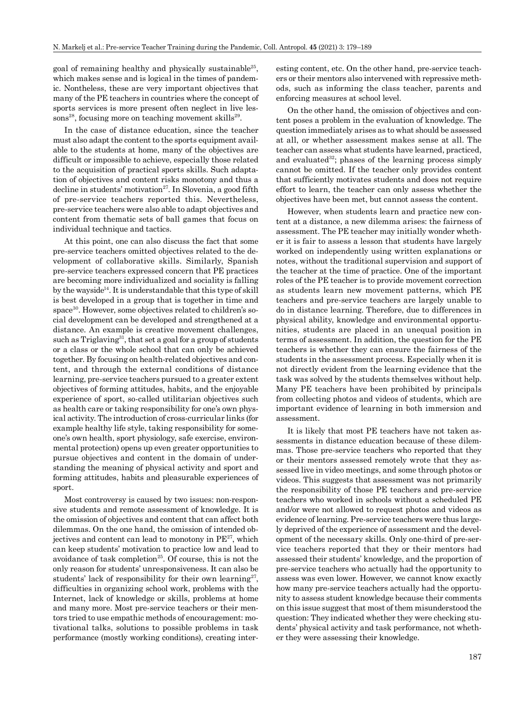goal of remaining healthy and physically sustainable25, which makes sense and is logical in the times of pandemic. Nontheless, these are very important objectives that many of the PE teachers in countries where the concept of sports services is more present often neglect in live les $sons<sup>28</sup>$ , focusing more on teaching movement skills<sup>29</sup>.

In the case of distance education, since the teacher must also adapt the content to the sports equipment available to the students at home, many of the objectives are difficult or impossible to achieve, especially those related to the acquisition of practical sports skills. Such adaptation of objectives and content risks monotony and thus a decline in students' motivation<sup>27</sup>. In Slovenia, a good fifth of pre-service teachers reported this. Nevertheless, pre-service teachers were also able to adapt objectives and content from thematic sets of ball games that focus on individual technique and tactics.

At this point, one can also discuss the fact that some pre-service teachers omitted objectives related to the development of collaborative skills. Similarly, Spanish pre-service teachers expressed concern that PE practices are becoming more individualized and sociality is falling by the wayside<sup>14</sup>. It is understandable that this type of skill is best developed in a group that is together in time and space<sup>30</sup>. However, some objectives related to children's social development can be developed and strengthened at a distance. An example is creative movement challenges, such as Triglaving<sup>31</sup>, that set a goal for a group of students or a class or the whole school that can only be achieved together. By focusing on health-related objectives and content, and through the external conditions of distance learning, pre-service teachers pursued to a greater extent objectives of forming attitudes, habits, and the enjoyable experience of sport, so-called utilitarian objectives such as health care or taking responsibility for one's own physical activity. The introduction of cross-curricular links (for example healthy life style, taking responsibility for someone's own health, sport physiology, safe exercise, environmental protection) opens up even greater opportunities to pursue objectives and content in the domain of understanding the meaning of physical activity and sport and forming attitudes, habits and pleasurable experiences of sport.

Most controversy is caused by two issues: non-responsive students and remote assessment of knowledge. It is the omission of objectives and content that can affect both dilemmas. On the one hand, the omission of intended objectives and content can lead to monotony in  $PE^{27}$ , which can keep students' motivation to practice low and lead to avoidance of task completion<sup>25</sup>. Of course, this is not the only reason for students' unresponsiveness. It can also be students' lack of responsibility for their own learning<sup>27</sup>, difficulties in organizing school work, problems with the Internet, lack of knowledge or skills, problems at home and many more. Most pre-service teachers or their mentors tried to use empathic methods of encouragement: motivational talks, solutions to possible problems in task performance (mostly working conditions), creating interesting content, etc. On the other hand, pre-service teachers or their mentors also intervened with repressive methods, such as informing the class teacher, parents and enforcing measures at school level.

On the other hand, the omission of objectives and content poses a problem in the evaluation of knowledge. The question immediately arises as to what should be assessed at all, or whether assessment makes sense at all. The teacher can assess what students have learned, practiced, and evaluated $32$ ; phases of the learning process simply cannot be omitted. If the teacher only provides content that sufficiently motivates students and does not require effort to learn, the teacher can only assess whether the objectives have been met, but cannot assess the content.

However, when students learn and practice new content at a distance, a new dilemma arises: the fairness of assessment. The PE teacher may initially wonder whether it is fair to assess a lesson that students have largely worked on independently using written explanations or notes, without the traditional supervision and support of the teacher at the time of practice. One of the important roles of the PE teacher is to provide movement correction as students learn new movement patterns, which PE teachers and pre-service teachers are largely unable to do in distance learning. Therefore, due to differences in physical ability, knowledge and environmental opportunities, students are placed in an unequal position in terms of assessment. In addition, the question for the PE teachers is whether they can ensure the fairness of the students in the assessment process. Especially when it is not directly evident from the learning evidence that the task was solved by the students themselves without help. Many PE teachers have been prohibited by principals from collecting photos and videos of students, which are important evidence of learning in both immersion and assessment.

It is likely that most PE teachers have not taken assessments in distance education because of these dilemmas. Those pre-service teachers who reported that they or their mentors assessed remotely wrote that they assessed live in video meetings, and some through photos or videos. This suggests that assessment was not primarily the responsibility of those PE teachers and pre-service teachers who worked in schools without a scheduled PE and/or were not allowed to request photos and videos as evidence of learning. Pre-service teachers were thus largely deprived of the experience of assessment and the development of the necessary skills. Only one-third of pre-service teachers reported that they or their mentors had assessed their students' knowledge, and the proportion of pre-service teachers who actually had the opportunity to assess was even lower. However, we cannot know exactly how many pre-service teachers actually had the opportunity to assess student knowledge because their comments on this issue suggest that most of them misunderstood the question: They indicated whether they were checking students' physical activity and task performance, not whether they were assessing their knowledge.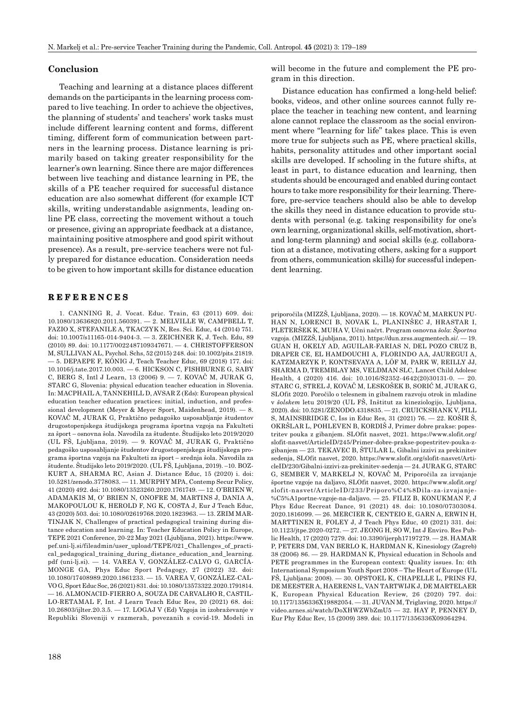## **Conclusion**

Teaching and learning at a distance places different demands on the participants in the learning process compared to live teaching. In order to achieve the objectives, the planning of students' and teachers' work tasks must include different learning content and forms, different timing, different form of communication between partners in the learning process. Distance learning is primarily based on taking greater responsibility for the learner's own learning. Since there are major differences between live teaching and distance learning in PE, the skills of a PE teacher required for successful distance education are also somewhat different (for example ICT skills, writing understandable asignments, leading online PE class, correcting the movement without a touch or presence, giving an appropriate feedback at a distance, maintaining positive atmosphere and good spirit without presence). As a result, pre-service teachers were not fully prepared for distance education. Consideration needs to be given to how important skills for distance education

## **REFERENCES**

1. CANNING R, J. Vocat. Educ. Train, 63 (2011) 609. doi: 10.1080/13636820.2011.560391. — 2. MELVILLE W, CAMPBELL T, FAZIO X, STEFANILE A, TKACZYK N, Res. Sci. Educ, 44 (2014) 751. doi: 10.1007/s11165-014-9404-3. — 3. ZEICHNER K, J. Tech. Edu, 89 (2010) 89. doi: 10.1177/0022487109347671. — 4. CHRISTOFFERSON M, SULLIVAN AL, Psychol. Schs, 52 (2015) 248. doi: 10.1002/pits.21819. — 5. DEPAEPE F, KÖNIG J, Teach Teacher Educ, 69 (2018) 177. doi: 10.1016/j.tate.2017.10.003. — 6. HICKSON C, FISHBURNE G, SABY C, BERG S, Intl J Learn, 13 (2006) 9. — 7. KOVAČ M, JURAK G, STARC G, Slovenia: physical education teacher education in Slovenia. In: MACPHAIL A, TANNEHILL D, AVSAR Z (Eds): European physical education teacher education practices: initial, induction, and professional development (Meyer & Meyer Sport, Maidenhead, 2019). — 8. KOVAČ M, JURAK G, Praktično pedagoško usposabljanje študentov drugostopenjskega študijskega programa športna vzgoja na Fakulteti za šport – osnovna šola. Navodila za študente. Študijsko leto 2019/2020 (UL FŠ, Ljubljana, 2019). — 9. KOVAČ M, JURAK G, Praktično pedagoško usposabljanje študentov drugostopenjskega študijskega programa športna vzgoja na Fakulteti za šport – srednja šola. Navodila za študente. Študijsko leto 2019/2020. (UL FŠ, Ljubljana, 2019). –10. BOZ-KURT A, SHARMA RC, Asian J. Distance Educ, 15 (2020) i. doi: 10.5281/zenodo.3778083. — 11. MURPHY MPA, Contemp Secur Policy, 41 (2020) 492. doi: 10.1080/13523260.2020.1761749. — 12. O'BRIEN W, ADAMAKIS M, O' BRIEN N, ONOFRE M, MARTINS J, DANIA A, MAKOPOULOU K, HEROLD F, NG K, COSTA J, Eur J Teach Educ, 43 (2020) 503. doi: 10.1080/02619768.2020.1823963. — 13. ZRIM MAR-TINJAK N, Challenges of practical pedagogical training during distance education and learning. In: Teacher Education Policy in Europe, TEPE 2021 Conference, 20-22 May 2021 (Ljubljana, 2021). https://www. pef.uni-lj.si/fileadmin/user\_upload/TEPE/021\_Challenges\_of\_practical\_pedagogical\_training\_during\_distance\_education\_and\_learning. pdf (uni-lj.si). — 14. VAREA V, GONZÁLEZ-CALVO G, GARCÍA-MONGE GA, Phys Educ Sport Pedagogy, 27 (2022) 32. doi: 10.1080/17408989.2020.1861233. — 15. VAREA V, GONZÁLEZ-CAL-VO G, Sport Educ Soc, 26 (2021) 831. doi: 10.1080/13573322.2020.1791814. — 16. ALMONACID-FIERRO A, SOUZA DE CARVALHO R, CASTIL-LO-RETAMAL F, Int. J Learn Teach Educ Res, 20 (2021) 68. doi: 10.26803/ijlter.20.3.5. — 17. LOGAJ V (Ed) Vzgoja in izobraževanje v Republiki Sloveniji v razmerah, povezanih s covid-19. Modeli in will become in the future and complement the PE program in this direction.

Distance education has confirmed a long-held belief: books, videos, and other online sources cannot fully replace the teacher in teaching new content, and learning alone cannot replace the classroom as the social environment where "learning for life" takes place. This is even more true for subjects such as PE, where practical skills, habits, personality attitudes and other important social skills are developed. If schooling in the future shifts, at least in part, to distance education and learning, then students should be encouraged and enabled during contact hours to take more responsibility for their learning. Therefore, pre-service teachers should also be able to develop the skills they need in distance education to provide students with personal (e.g. taking responsibility for one's own learning, organizational skills, self-motivation, shortand long-term planning) and social skills (e.g. collaboration at a distance, motivating others, asking for a support from others, communication skills) for successful independent learning.

priporočila (MIZZŠ, Ljubljana, 2020). — 18. KOVAČ M, MARKUN PU-HAN N, LORENCI B, NOVAK L, PLANINŠEC J, HRASTAR I, PLETERŠEK K, MUHA V, Učni načrt. Program osnovna *šola*: *Športna* vzgoja. (MIZZŠ, Ljubljana, 2011). https://dun.zrss.augmentech.si/. — 19. GUAN H, OKELY AD, AGUILAR-FARIAS N, DEL POZO CRUZ B, DRAPER CE, EL HAMDOUCHI A, FLORINDO AA, JAUREGUI A, KATZMARZYK P, KONTSEVAYA A, LÖF M, PARK W, REILLY JJ, SHARMA D, TREMBLAY MS, VELDMAN SLC, Lancet Child Adolesc Health, 4 (2020) 416. doi: 10.1016/S2352-4642(20)30131-0. — 20. STARC G, STREL J, KOVAČ M, LESKOŠEK B, SORIĆ M, JURAK G, SLOfit 2020. Poročilo o telesnem in gibalnem razvoju otrok in mladine v *šolskem* letu 2019/20 (UL FŠ, Inštitut za kineziologijo, Ljubljana, 2020). doi: 10.5281/ZENODO.4318835. — 21. CRUICKSHANK V, PILL S, MAINSBRIDGE C, Iss in Educ Res, 31 (2021) 76. — 22. KOŠIR Š, OKRŠLAR L, POHLEVEN B, KORDIŠ J, Primer dobre prakse: popestritev pouka z gibanjem. SLOfit nasvet, 2021. https://www.slofit.org/ slofit-nasvet/ArticleID/245/Primer-dobre-prakse-popestritev-pouka-zgibanjem — 23. TEKAVEC B, ŠTULAR L, Gibalni izzivi za prekinitev sedenja, SLOfit nasvet, 2020. https://www.slofit.org/slofit-nasvet/ArticleID/230/Gibalni-izzivi-za-prekinitev-sedenja — 24. JURAK G, STARC G, SEMBER V, MARKELJ N, KOVAČ M, Priporočila za izvajanje športne vzgoje na daljavo, SLOfit nasvet, 2020. https://www.slofit.org/ slofit-nasvet/ArticleID/233/Priporo%C4%8Dila-za-izvajanje- %C5%A1portne-vzgoje-na-daljavo. — 25. FILIZ B, KONUKMAN F, J Phys Educ Recreat Dance, 91 (2021) 48. doi: 10.1080/07303084. 2020.1816099. — 26. MERCIER K, CENTEIO E, GARN A, ERWIN H, MARTTINEN R, FOLEY J, J Teach Phys Educ, 40 (2021) 331. doi: 10.1123/jtpe.2020-0272. — 27. JEONG H, SO W, Int J Enviro. Res Public Health, 17 (2020) 7279*.* doi: 10.3390/ijerph17197279. — 28. HAMAR P, PETERS DM, VAN BERLO K, HARDMAN K, Kinesiology (Zagreb) 38 (2006) 86. — 29. HARDMAN K, Physical education in Schools and PETE programmes in the European context: Quality issues. In: 4th International Symposium Youth Sport 2008 – The Heart of Europe (UL FŠ, Ljubljana: 2008). — 30. OPSTOEL K, CHAPELLE L, PRINS FJ, DE MEESTER A, HAERENS L, VAN TARTWIJK J, DE MARTELAER K, European Physical Education Review, 26 (2020) 797. doi: 10.1177/1356336X19882054. — 31. JUVAN M, Triglaving, 2020. https:// video.arnes.si/watch/DoXHWZWbZmU5 — 32. HAY P, PENNEY D, Eur Phy Educ Rev, 15 (2009) 389. doi: 10.1177/1356336X09364294.